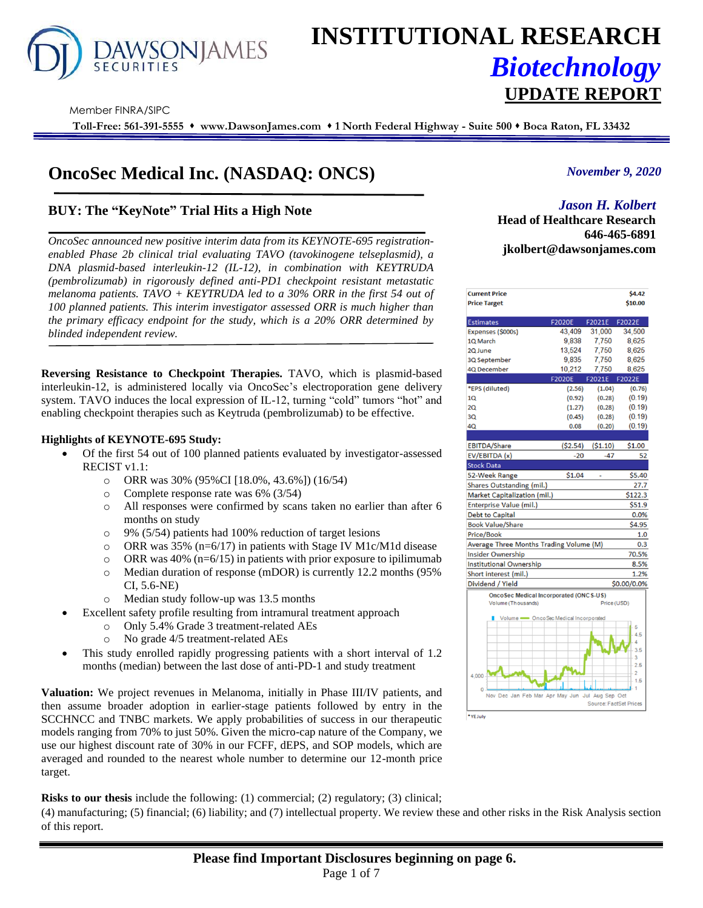

# **INSTITUTIONAL RESEARCH** *Biotechnology* **UPDATE REPORT**

Member FINRA/SIPC

**Toll-Free: 561-391-5555** ⬧ **www.DawsonJames.com** ⬧ **1 North Federal Highway - Suite 500** ⬧ **Boca Raton, FL 33432**

# **OncoSec Medical Inc. (NASDAQ: ONCS)**

# **BUY: The "KeyNote" Trial Hits a High Note**

*OncoSec announced new positive interim data from its KEYNOTE-695 registrationenabled Phase 2b clinical trial evaluating TAVO (tavokinogene telseplasmid), a DNA plasmid-based interleukin-12 (IL-12), in combination with KEYTRUDA (pembrolizumab) in rigorously defined anti-PD1 checkpoint resistant metastatic melanoma patients. TAVO + KEYTRUDA led to a 30% ORR in the first 54 out of 100 planned patients. This interim investigator assessed ORR is much higher than the primary efficacy endpoint for the study, which is a 20% ORR determined by blinded independent review.*

**Reversing Resistance to Checkpoint Therapies.** TAVO, which is plasmid-based interleukin-12, is administered locally via OncoSec's electroporation gene delivery system. TAVO induces the local expression of IL-12, turning "cold" tumors "hot" and enabling checkpoint therapies such as Keytruda (pembrolizumab) to be effective.

#### **Highlights of KEYNOTE-695 Study:**

- Of the first 54 out of 100 planned patients evaluated by investigator-assessed RECIST v1.1:
	- o ORR was 30% (95%CI [18.0%, 43.6%]) (16/54)
	- o Complete response rate was 6% (3/54)
	- o All responses were confirmed by scans taken no earlier than after 6 months on study
	- o 9% (5/54) patients had 100% reduction of target lesions
	- o ORR was 35% (n=6/17) in patients with Stage IV M1c/M1d disease
	- o ORR was 40% ( $n=6/15$ ) in patients with prior exposure to ipilimumab
	- o Median duration of response (mDOR) is currently 12.2 months (95% CI, 5.6-NE)
	- o Median study follow-up was 13.5 months
- Excellent safety profile resulting from intramural treatment approach
	- o Only 5.4% Grade 3 treatment-related AEs
	- o No grade 4/5 treatment-related AEs
- This study enrolled rapidly progressing patients with a short interval of 1.2 months (median) between the last dose of anti-PD-1 and study treatment

**Valuation:** We project revenues in Melanoma, initially in Phase III/IV patients, and then assume broader adoption in earlier-stage patients followed by entry in the SCCHNCC and TNBC markets. We apply probabilities of success in our therapeutic models ranging from 70% to just 50%. Given the micro-cap nature of the Company, we use our highest discount rate of 30% in our FCFF, dEPS, and SOP models, which are averaged and rounded to the nearest whole number to determine our 12-month price target.

**Risks to our thesis** include the following: (1) commercial; (2) regulatory; (3) clinical;

(4) manufacturing; (5) financial; (6) liability; and (7) intellectual property. We review these and other risks in the Risk Analysis section of this report.

### *November 9, 2020*

## *Jason H. Kolbert*

**Investment Highlights Head of Healthcare Research 646-465-6891 jkolbert@dawsonjames.com**

| <b>Current Price</b>                            |               |                               | \$4.42         |
|-------------------------------------------------|---------------|-------------------------------|----------------|
| <b>Price Target</b>                             |               |                               | \$10.00        |
|                                                 |               |                               |                |
| <b>Estimates</b>                                | <b>F2020E</b> | F2021E                        | F2022E         |
| Expenses (\$000s)                               | 43,409        | 31,000                        | 34,500         |
| 1Q March                                        | 9.838         | 7,750                         | 8.625          |
| 2Q June                                         | 13,524        | 7,750                         | 8,625          |
| 3Q September                                    | 9,835         | 7,750                         | 8,625          |
| 4Q December                                     | 10,212        | 7,750                         | 8,625          |
|                                                 | <b>F2020E</b> | F2021E                        | F2022E         |
| *EPS (diluted)                                  | (2.56)        | (1.04)                        | (0.76)         |
| 10                                              | (0.92)        | (0.28)                        | (0.19)         |
| 20                                              | (1.27)        | (0.28)                        | (0.19)         |
| 30                                              | (0.45)        | (0.28)                        | (0.19)         |
| 40                                              | 0.08          | (0.20)                        | (0.19)         |
|                                                 |               |                               |                |
| <b>EBITDA/Share</b>                             | ( \$2.54)     | (S1.10)                       | \$1.00         |
| EV/EBITDA (x)                                   | $-20$         | $-47$                         | 52             |
| <b>Stock Data</b>                               |               |                               |                |
| 52-Week Range                                   | \$1.04        |                               | \$5.40         |
| Shares Outstanding (mil.)                       |               |                               | 27.7           |
| Market Capitalization (mil.)                    |               |                               | \$122.3        |
| <b>Enterprise Value (mil.)</b>                  |               |                               | \$51.9         |
| <b>Debt to Capital</b>                          |               |                               | 0.0%           |
| <b>Book Value/Share</b>                         |               |                               | \$4.95         |
| <b>Price/Book</b>                               |               |                               | 1.0            |
| Average Three Months Trading Volume (M)         |               |                               | 0.3            |
| <b>Insider Ownership</b>                        |               |                               | 70.5%          |
| <b>Institutional Ownership</b>                  |               |                               | 8.5%           |
| Short interest (mil.)                           |               |                               | 1.2%           |
| Dividend / Yield                                |               |                               | \$0.00/0.0%    |
| <b>OncoSec Medical Incorporated (ONCS-US)</b>   |               |                               |                |
| Volume (Thousands)                              |               | Price (USD)                   |                |
| Volume <a>&gt; OncoSec Medical Incorporated</a> |               |                               |                |
|                                                 |               |                               | 5              |
|                                                 |               |                               | 4.5<br>Δ       |
|                                                 |               |                               | 3.5            |
|                                                 |               |                               | 3              |
|                                                 |               |                               | 2.5            |
| 4.000                                           |               |                               | $\overline{2}$ |
| 0                                               |               |                               | 1.5            |
| Nov Dec Jan Feb Mar Apr May Jun Jul Aug Sep Oct |               |                               |                |
|                                                 |               | <b>Source: FactSet Prices</b> |                |
| *YE July                                        |               |                               |                |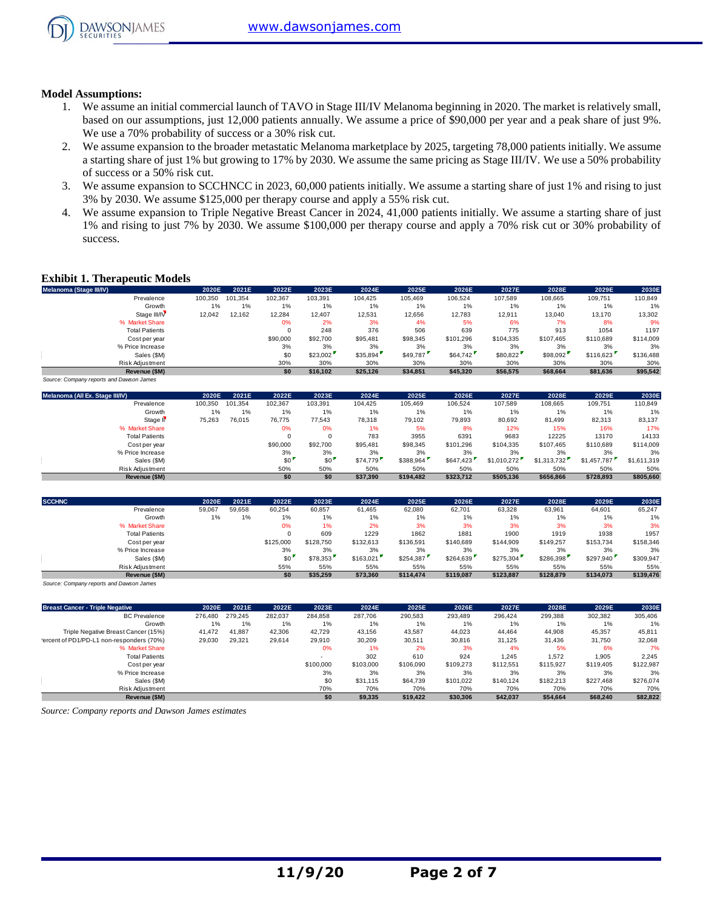

#### **Model Assumptions:**

- 1. We assume an initial commercial launch of TAVO in Stage III/IV Melanoma beginning in 2020. The market is relatively small, based on our assumptions, just 12,000 patients annually. We assume a price of \$90,000 per year and a peak share of just 9%. We use a 70% probability of success or a 30% risk cut.
- 2. We assume expansion to the broader metastatic Melanoma marketplace by 2025, targeting 78,000 patients initially. We assume a starting share of just 1% but growing to 17% by 2030. We assume the same pricing as Stage III/IV. We use a 50% probability of success or a 50% risk cut.
- 3. We assume expansion to SCCHNCC in 2023, 60,000 patients initially. We assume a starting share of just 1% and rising to just 3% by 2030. We assume \$125,000 per therapy course and apply a 55% risk cut.
- 4. We assume expansion to Triple Negative Breast Cancer in 2024, 41,000 patients initially. We assume a starting share of just 1% and rising to just 7% by 2030. We assume \$100,000 per therapy course and apply a 70% risk cut or 30% probability of success.

#### **Exhibit 1. Therapeutic Models**

| <b>Exhibit 1. Therapeutic Models</b>     |         |         |          |          |          |          |           |           |           |           |           |
|------------------------------------------|---------|---------|----------|----------|----------|----------|-----------|-----------|-----------|-----------|-----------|
| Melanoma (Stage III/IV)                  | 2020E   | 2021E   | 2022E    | 2023E    | 2024E    | 2025E    | 2026E     | 2027E     | 2028E     | 2029E     | 2030E     |
| Prevalence                               | 100,350 | 101.354 | 102,367  | 103,391  | 104.425  | 105.469  | 106,524   | 107.589   | 108,665   | 109,751   | 110,849   |
| Growth                                   | 1%      | 1%      | 1%       | 1%       | 1%       | 1%       | 1%        | 1%        | 1%        | 1%        | 1%        |
| Stage III/IV                             | 12,042  | 12,162  | 12,284   | 12,407   | 12,531   | 12,656   | 12,783    | 12,911    | 13,040    | 13,170    | 13,302    |
| % Market Share                           |         |         | 0%       | 2%       | 3%       | 4%       | 5%        | 6%        | 7%        | 8%        | 9%        |
| <b>Total Patients</b>                    |         |         | $\Omega$ | 248      | 376      | 506      | 639       | 775       | 913       | 1054      | 1197      |
| Cost per year                            |         |         | \$90,000 | \$92,700 | \$95,481 | \$98,345 | \$101.296 | \$104,335 | \$107.465 | \$110,689 | \$114,009 |
| % Price Increase                         |         |         | 3%       | 3%       | 3%       | 3%       | 3%        | 3%        | 3%        | 3%        | 3%        |
| Sales (\$M)                              |         |         | \$0      | \$23,002 | \$35,894 | \$49,787 | \$64,742  | \$80,822  | \$98,092  | \$116,623 | \$136,488 |
| Risk Adjustment                          |         |         | 30%      | 30%      | 30%      | 30%      | 30%       | 30%       | 30%       | 30%       | 30%       |
| Revenue (\$M)                            |         |         | \$0      | \$16.102 | \$25,126 | \$34,851 | \$45,320  | \$56,575  | \$68,664  | \$81,636  | \$95,542  |
| Source: Company reports and Dawson James |         |         |          |          |          |          |           |           |           |           |           |

| Sales (\$M)                              |         |         | \$0      | \$23,002 | \$35,894 | \$49,787  | \$64,742  | \$80,822    | \$98,092    | \$116,623   | \$136,488   |
|------------------------------------------|---------|---------|----------|----------|----------|-----------|-----------|-------------|-------------|-------------|-------------|
| Risk Adjustment                          |         |         | 30%      | 30%      | 30%      | 30%       | 30%       | 30%         | 30%         | 30%         | 30%         |
| Revenue (\$M)                            |         |         | \$0      | \$16,102 | \$25,126 | \$34,851  | \$45,320  | \$56,575    | \$68,664    | \$81,636    | \$95,542    |
| Source: Company reports and Dawson James |         |         |          |          |          |           |           |             |             |             |             |
| Melanoma (All Ex. Stage III/IV)          | 2020E   | 2021E   | 2022E    | 2023E    | 2024E    | 2025E     | 2026E     | 2027E       | 2028E       | 2029E       | 2030E       |
| Prevalence                               | 100,350 | 101.354 | 102,367  | 103,391  | 104,425  | 105,469   | 106,524   | 107,589     | 108,665     | 109,751     | 110,849     |
| Growth                                   | 1%      | 1%      | 1%       | 1%       | 1%       | $1\%$     | 1%        | 1%          | 1%          | 1%          | 1%          |
| Stage II <sup></sup>                     | 75,263  | 76,015  | 76,775   | 77,543   | 78,318   | 79,102    | 79,893    | 80,692      | 81,499      | 82,313      | 83,137      |
| % Market Share                           |         |         | 0%       | 0%       | 1%       | 5%        | 8%        | 12%         | 15%         | 16%         | 17%         |
| <b>Total Patients</b>                    |         |         |          | $\Omega$ | 783      | 3955      | 6391      | 9683        | 12225       | 13170       | 14133       |
| Cost per year                            |         |         | \$90,000 | \$92,700 | \$95,481 | \$98,345  | \$101.296 | \$104.335   | \$107,465   | \$110,689   | \$114,009   |
| % Price Increase                         |         |         | 3%       | 3%       | 3%       | 3%        | 3%        | 3%          | 3%          | 3%          | 3%          |
| Sales (\$M)                              |         |         | \$0      | \$0      | \$74,779 | \$388,964 | \$647,423 | \$1,010,272 | \$1,313,732 | \$1,457,787 | \$1,611,319 |
| <b>Risk Adiustment</b>                   |         |         | 50%      | 50%      | 50%      | 50%       | 50%       | 50%         | 50%         | 50%         | 50%         |
| Revenue (\$M)                            |         |         | \$0      | \$0      | \$37,390 | \$194,482 | \$323,712 | \$505,136   | \$656,866   | \$728,893   | \$805,660   |
|                                          |         |         |          |          |          |           |           |             |             |             |             |
|                                          |         |         |          |          |          |           |           |             |             |             |             |

|               | Sales (\$M)                              |        |        | \$0       | \$0       | \$74,779  | \$388,964 | \$647.423 | \$1,010,272 | \$1,313,732 | \$1,457,787 | \$1.611.319 |
|---------------|------------------------------------------|--------|--------|-----------|-----------|-----------|-----------|-----------|-------------|-------------|-------------|-------------|
|               | Risk Adjustment                          |        |        | 50%       | 50%       | 50%       | 50%       | 50%       | 50%         | 50%         | 50%         | 50%         |
|               | Revenue (\$M)                            |        |        | \$0       | \$0       | \$37,390  | \$194,482 | \$323.712 | \$505,136   | \$656,866   | \$728,893   | \$805,660   |
| <b>SCCHNC</b> |                                          | 2020E  | 2021E  | 2022E     | 2023E     | 2024E     | 2025E     | 2026E     | 2027E       | 2028E       | 2029E       | 2030E       |
|               | Prevalence                               | 59,067 | 59,658 | 60,254    | 60,857    | 61,465    | 62,080    | 62,701    | 63,328      | 63,961      | 64,601      | 65,247      |
|               | Growth                                   | 1%     | 1%     | 1%        | 1%        | 1%        | 1%        | 1%        | 1%          | 1%          | 1%          | 1%          |
|               | % Market Share                           |        |        | 0%        | 1%        | 2%        | 3%        | 3%        | 3%          | 3%          | 3%          | 3%          |
|               | <b>Total Patients</b>                    |        |        |           | 609       | 1229      | 1862      | 1881      | 1900        | 1919        | 1938        | 1957        |
|               | Cost per year                            |        |        | \$125,000 | \$128,750 | \$132,613 | \$136,591 | \$140,689 | \$144,909   | \$149,257   | \$153,734   | \$158,346   |
|               | % Price Increase                         |        |        | 3%        | 3%        | 3%        | 3%        | 3%        | 3%          | 3%          | 3%          | 3%          |
|               | Sales (\$M)                              |        |        | \$0       | \$78,353  | \$163,021 | \$254,387 | \$264,639 | \$275,304   | \$286,398   | \$297,940   | \$309,947   |
|               | <b>Risk Adiustment</b>                   |        |        | 55%       | 55%       | 55%       | 55%       | 55%       | 55%         | 55%         | 55%         | 55%         |
|               | Revenue (\$M)                            |        |        | \$0       | \$35,259  | \$73,360  | \$114,474 | \$119,087 | \$123,887   | \$128,879   | \$134,073   | \$139,476   |
|               | Source: Company reports and Dawson James |        |        |           |           |           |           |           |             |             |             |             |

| Risk Adjustment                                    |         |         | 55%     | 55%       | 55%       | 55%       | 55%       | 55%       | 55%       | 55%       | 55%       |
|----------------------------------------------------|---------|---------|---------|-----------|-----------|-----------|-----------|-----------|-----------|-----------|-----------|
| Revenue (\$M)                                      |         |         | \$0     | \$35,259  | \$73,360  | \$114,474 | \$119,087 | \$123.887 | \$128,879 | \$134,073 | \$139,476 |
| Source: Company reports and Dawson James           |         |         |         |           |           |           |           |           |           |           |           |
| <b>Breast Cancer - Triple Negative</b>             | 2020E   | 2021E   | 2022E   | 2023E     | 2024E     | 2025E     | 2026E     | 2027E     | 2028E     | 2029E     | 2030E     |
| <b>BC</b> Prevalence                               | 276.480 | 279.245 | 282,037 | 284.858   | 287,706   | 290,583   | 293.489   | 296.424   | 299,388   | 302,382   | 305,406   |
| Growth                                             | 1%      | 1%      | 1%      | 1%        | 1%        | 1%        | 1%        | 1%        | 1%        | 1%        | 1%        |
| Triple Negative Breast Cancer (15%)                | 41,472  | 41,887  | 42,306  | 42.729    | 43,156    | 43,587    | 44,023    | 44.464    | 44,908    | 45,357    | 45,811    |
| 'ercent of PD1/PD-L1 non-responders (70%)          | 29,030  | 29,321  | 29,614  | 29,910    | 30,209    | 30,511    | 30,816    | 31,125    | 31,436    | 31,750    | 32,068    |
| % Market Share                                     |         |         |         | 0%        | 1%        | 2%        | 3%        | 4%        | 5%        | 6%        | 7%        |
| <b>Total Patients</b>                              |         |         |         |           | 302       | 610       | 924       | 1,245     | 1,572     | 1,905     | 2,245     |
| Cost per year                                      |         |         |         | \$100,000 | \$103,000 | \$106,090 | \$109.273 | \$112,551 | \$115,927 | \$119,405 | \$122,987 |
| % Price Increase                                   |         |         |         | 3%        | 3%        | 3%        | 3%        | 3%        | 3%        | 3%        | 3%        |
| Sales (\$M)                                        |         |         |         | \$0       | \$31.115  | \$64,739  | \$101.022 | \$140.124 | \$182,213 | \$227,468 | \$276,074 |
| Risk Adjustment                                    |         |         |         | 70%       | 70%       | 70%       | 70%       | 70%       | 70%       | 70%       | 70%       |
| Revenue (\$M)                                      |         |         |         | \$0       | \$9,335   | \$19,422  | \$30,306  | \$42,037  | \$54,664  | \$68,240  | \$82,822  |
| Source: Company reports and Dawson James estimates |         |         |         |           |           |           |           |           |           |           |           |

*Source: Company reports and Dawson James estimates*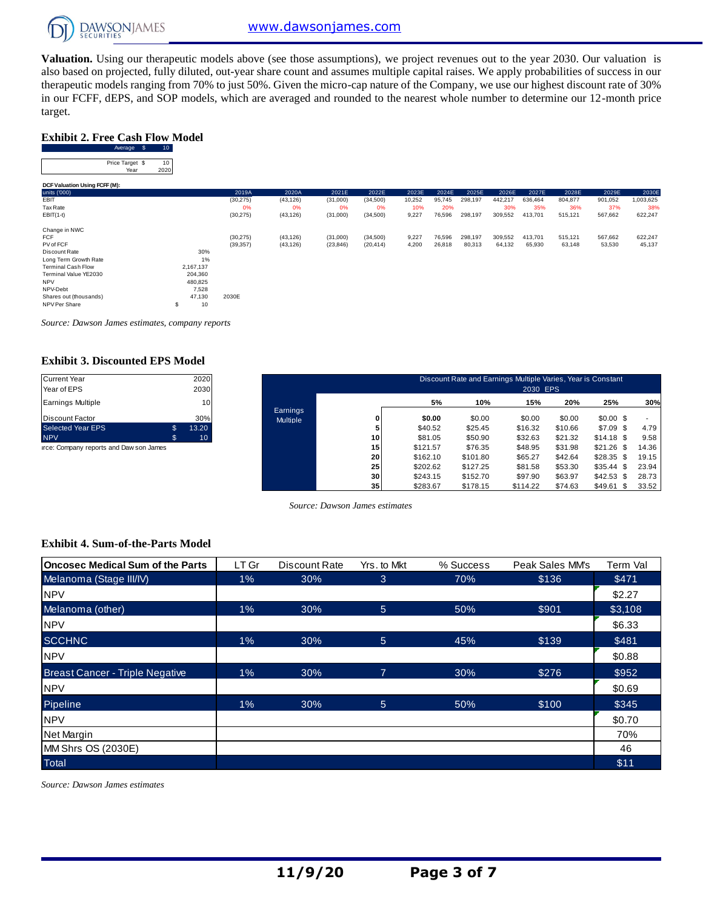

**Valuation.** Using our therapeutic models above (see those assumptions), we project revenues out to the year 2030. Our valuation is also based on projected, fully diluted, out-year share count and assumes multiple capital raises. We apply probabilities of success in our therapeutic models ranging from 70% to just 50%. Given the micro-cap nature of the Company, we use our highest discount rate of 30% in our FCFF, dEPS, and SOP models, which are averaged and rounded to the nearest whole number to determine our 12-month price target. EPS, and SO<br> **Cash Flow**<br>
Average \$ 10<br>
ce Tarnet \$ 10

#### **Exhibit 2. Free Cash Flow Model**

| target.                                              |                 |           |           |           |           |        |        |         |         |         |         |         |           |
|------------------------------------------------------|-----------------|-----------|-----------|-----------|-----------|--------|--------|---------|---------|---------|---------|---------|-----------|
| <b>Exhibit 2. Free Cash Flow Model</b><br>Average \$ | 10 <sub>1</sub> |           |           |           |           |        |        |         |         |         |         |         |           |
| Price Target \$<br>Year                              | 10<br>2020      |           |           |           |           |        |        |         |         |         |         |         |           |
| DCF Valuation Using FCFF (M):                        |                 |           |           |           |           |        |        |         |         |         |         |         |           |
| units ('000)                                         |                 | 2019A     | 2020A     | 2021E     | 2022E     | 2023E  | 2024E  | 2025E   | 2026E   | 2027E   | 2028E   | 2029E   | 2030E     |
| EBIT                                                 |                 | (30, 275) | (43, 126) | (31,000)  | (34,500)  | 10,252 | 95,745 | 298,197 | 442,217 | 636,464 | 804,877 | 901,052 | 1,003,625 |
| Tax Rate                                             |                 | 0%        | 0%        | 0%        | 0%        | 10%    | 20%    |         | 30%     | 35%     | 36%     | 37%     | 38%       |
| $EBIT(1-t)$                                          |                 | (30, 275) | (43, 126) | (31,000)  | (34, 500) | 9,227  | 76,596 | 298,197 | 309,552 | 413,701 | 515,121 | 567,662 | 622,247   |
| Change in NWC                                        |                 |           |           |           |           |        |        |         |         |         |         |         |           |
| <b>FCF</b>                                           |                 | (30, 275) | (43, 126) | (31,000)  | (34,500)  | 9,227  | 76,596 | 298,197 | 309,552 | 413,701 | 515,121 | 567,662 | 622,247   |
| PV of FCF                                            |                 | (39, 357) | (43, 126) | (23, 846) | (20, 414) | 4,200  | 26,818 | 80,313  | 64,132  | 65,930  | 63,148  | 53,530  | 45,137    |
| Discount Rate                                        | 30%             |           |           |           |           |        |        |         |         |         |         |         |           |
| Long Term Growth Rate                                | 1%              |           |           |           |           |        |        |         |         |         |         |         |           |
| <b>Terminal Cash Flow</b>                            | 2,167,137       |           |           |           |           |        |        |         |         |         |         |         |           |
| Terminal Value YE2030                                | 204,360         |           |           |           |           |        |        |         |         |         |         |         |           |
| <b>NPV</b>                                           | 480,825         |           |           |           |           |        |        |         |         |         |         |         |           |
| NPV-Debt                                             | 7,528           |           |           |           |           |        |        |         |         |         |         |         |           |
| Shares out (thousands)                               | 47,130          | 2030E     |           |           |           |        |        |         |         |         |         |         |           |
| NPV Per Share                                        | 10<br>\$        |           |           |           |           |        |        |         |         |         |         |         |           |

*Source: Dawson James estimates, company reports*

#### **Exhibit 3. Discounted EPS Model**

| <b>Current Year</b>      |     | 2020  |
|--------------------------|-----|-------|
| Year of EPS              |     | 2030  |
| <b>Earnings Multiple</b> |     | 10    |
| <b>Discount Factor</b>   |     | 30%   |
| <b>Selected Year EPS</b> | \$. | 13.20 |
| <b>NPV</b>               | S   | 10    |

| <b>Current Year</b><br>Year of EPS      |              | 2020<br>2030    |                             |                 |          | Discount Rate and Earnings Multiple Varies, Year is Constant | 2030 EPS |         |                 |       |
|-----------------------------------------|--------------|-----------------|-----------------------------|-----------------|----------|--------------------------------------------------------------|----------|---------|-----------------|-------|
| <b>Earnings Multiple</b>                |              | 10 <sub>1</sub> |                             |                 | 5%       | 10%                                                          | 15%      | 20%     | 25%             | 30%   |
| <b>Discount Factor</b>                  |              | 30%             | Earnings<br><b>Multiple</b> |                 | \$0.00   | \$0.00                                                       | \$0.00   | \$0.00  | $$0.00$ \$      |       |
| <b>Selected Year EPS</b>                | $\mathbb{S}$ | 13.20           |                             |                 | \$40.52  | \$25.45                                                      | \$16.32  | \$10.66 | $$7.09$ \$      | 4.79  |
| <b>NPV</b>                              | \$           | 10 <sup>°</sup> |                             | 10              | \$81.05  | \$50.90                                                      | \$32.63  | \$21.32 | $$14.18$ \$     | 9.58  |
| irce: Company reports and Daw son James |              |                 |                             | 15              | \$121.57 | \$76.35                                                      | \$48.95  | \$31.98 | \$21.26<br>- \$ | 14.36 |
|                                         |              |                 |                             | 20              | \$162.10 | \$101.80                                                     | \$65.27  | \$42.64 | \$28.35<br>- \$ | 19.15 |
|                                         |              |                 |                             | 25              | \$202.62 | \$127.25                                                     | \$81.58  | \$53.30 | \$35.44<br>- \$ | 23.94 |
|                                         |              |                 |                             | 30              | \$243.15 | \$152.70                                                     | \$97.90  | \$63.97 | \$42.53<br>- \$ | 28.73 |
|                                         |              |                 |                             | 35 <sub>1</sub> | \$283.67 | \$178.15                                                     | \$114.22 | \$74.63 | \$49.61<br>\$   | 33.52 |

*Source: Dawson James estimates*

#### **Exhibit 4. Sum-of-the-Parts Model**

| Oncosec Medical Sum of the Parts       | LT Gr | Discount Rate | Yrs. to Mkt | % Success | Peak Sales MM's | Term Val |
|----------------------------------------|-------|---------------|-------------|-----------|-----------------|----------|
| Melanoma (Stage III/IV)                | $1\%$ | 30%           | 3           | 70%       | \$136           | \$471    |
| <b>NPV</b>                             |       |               |             |           |                 | \$2.27   |
| Melanoma (other)                       | 1%    | 30%           | 5           | 50%       | \$901           | \$3,108  |
| <b>NPV</b>                             |       |               |             |           |                 | \$6.33   |
| <b>SCCHNC</b>                          | $1\%$ | 30%           | 5           | 45%       | \$139           | \$481    |
| <b>NPV</b>                             |       |               |             |           |                 | \$0.88   |
| <b>Breast Cancer - Triple Negative</b> | 1%    | 30%           | 7           | 30%       | \$276           | \$952    |
| <b>NPV</b>                             |       |               |             |           |                 | \$0.69   |
| Pipeline                               | 1%    | 30%           | 5           | 50%       | \$100           | \$345    |
| <b>NPV</b>                             |       |               |             |           |                 | \$0.70   |
| Net Margin                             |       |               |             |           |                 | 70%      |
| MM Shrs OS (2030E)                     |       |               |             |           |                 | 46       |
| <b>Total</b>                           |       |               |             |           |                 | \$11     |

*Source: Dawson James estimates*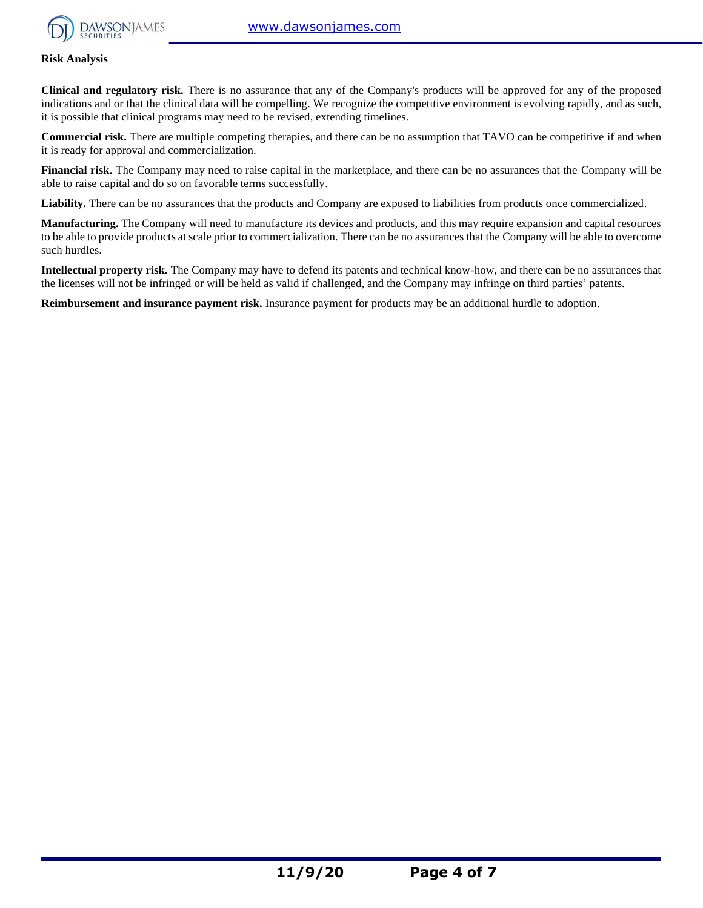

#### **Risk Analysis**

**Clinical and regulatory risk.** There is no assurance that any of the Company's products will be approved for any of the proposed indications and or that the clinical data will be compelling. We recognize the competitive environment is evolving rapidly, and as such, it is possible that clinical programs may need to be revised, extending timelines.

**Commercial risk.** There are multiple competing therapies, and there can be no assumption that TAVO can be competitive if and when it is ready for approval and commercialization.

**Financial risk.** The Company may need to raise capital in the marketplace, and there can be no assurances that the Company will be able to raise capital and do so on favorable terms successfully.

Liability. There can be no assurances that the products and Company are exposed to liabilities from products once commercialized.

**Manufacturing.** The Company will need to manufacture its devices and products, and this may require expansion and capital resources to be able to provide products at scale prior to commercialization. There can be no assurances that the Company will be able to overcome such hurdles.

**Intellectual property risk.** The Company may have to defend its patents and technical know-how, and there can be no assurances that the licenses will not be infringed or will be held as valid if challenged, and the Company may infringe on third parties' patents.

**Reimbursement and insurance payment risk.** Insurance payment for products may be an additional hurdle to adoption.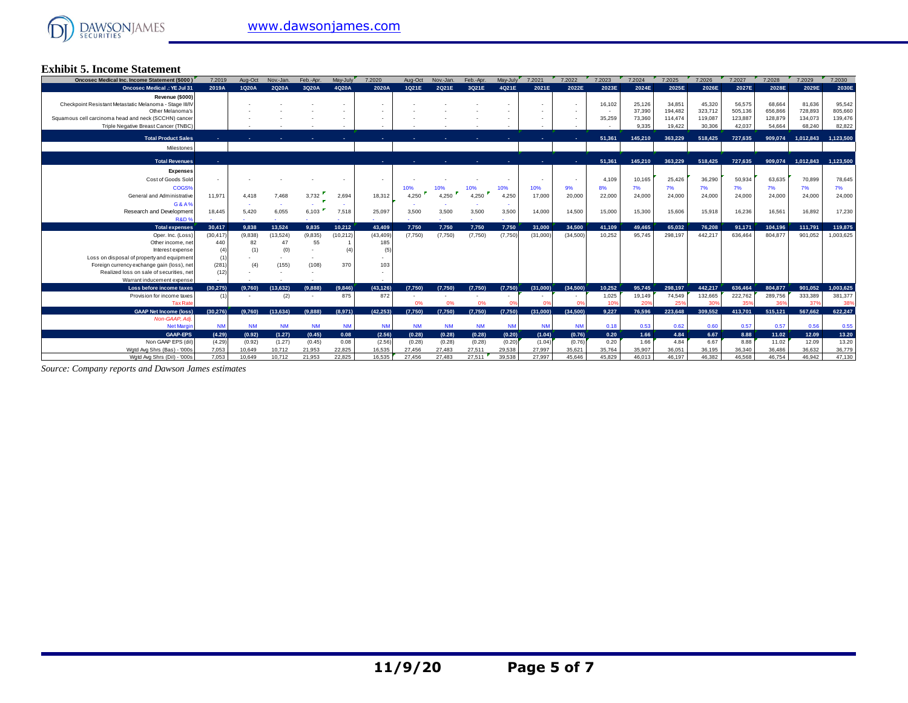#### **Exhibit 5. Income Statement**

| <b>Oncosec Medical Inc. Income Statement (\$000)</b>                     | 7.2019         | Aug-Oct          | Nov.-Jan.        | Feb.-Apr.        | May-July         | 7.2020           | Aug-Oct          | Nov.-Jan.        | Feb.-Apr.        | May-July         | 7.2021           | 7.2022           | 7.2023           | 7.2024           | 7.2025             | 7.2026             | 7.2027             | 7.2028             | 7.2029             | 7.2030             |
|--------------------------------------------------------------------------|----------------|------------------|------------------|------------------|------------------|------------------|------------------|------------------|------------------|------------------|------------------|------------------|------------------|------------------|--------------------|--------------------|--------------------|--------------------|--------------------|--------------------|
| <b>Oncosec Medical .: YE Jul 31</b>                                      | 2019A          | 1Q20A            | 2Q20A            | 3Q20A            | 4Q20A            | 2020A            | 1Q21E            | 2Q21E            | 3Q21E            | 4Q21E            | 2021E            | 2022E            | 2023E            | 2024E            | 2025E              | 2026E              | 2027E              | 2028E              | 2029E              | 2030E              |
| Revenue (\$000)                                                          |                |                  |                  |                  |                  |                  |                  |                  |                  |                  |                  |                  |                  |                  |                    |                    |                    |                    |                    |                    |
| Checkpoint Resistant Metastatic Melanoma - Stage III/IV                  |                |                  |                  |                  |                  |                  |                  |                  |                  |                  |                  |                  | 16,102           | 25,126           | 34,851             | 45,320             | 56,575             | 68,664             | 81,636             | 95,542             |
| Other Melanoma's<br>Squamous cell carcinoma head and neck (SCCHN) cancer |                |                  |                  |                  |                  |                  |                  |                  |                  |                  |                  |                  | 35,259           | 37,390<br>73,360 | 194.482<br>114,474 | 323,712<br>119,087 | 505,136<br>123,887 | 656,866<br>128,879 | 728,893<br>134.073 | 805,660<br>139,476 |
| Triple Negative Breast Cancer (TNBC)                                     |                |                  |                  |                  |                  |                  |                  |                  |                  |                  |                  |                  |                  | 9.335            | 19,422             | 30,306             | 42,037             | 54,664             | 68,240             | 82,822             |
|                                                                          |                |                  |                  |                  |                  |                  |                  |                  |                  |                  |                  |                  |                  |                  |                    |                    |                    |                    |                    |                    |
| <b>Total Product Sales</b>                                               |                |                  |                  |                  |                  |                  |                  |                  |                  |                  |                  |                  | 51.361           | 145,210          | 363.229            | 518,425            | 727.635            | 909.074            | 1.012.843          | 1.123.500          |
| Milestones                                                               |                |                  |                  |                  |                  |                  |                  |                  |                  |                  |                  |                  |                  |                  |                    |                    |                    |                    |                    |                    |
| <b>Total Revenues</b>                                                    |                |                  |                  |                  |                  |                  |                  |                  |                  |                  |                  |                  | 51,361           | 145,210          | 363.229            | 518,425            | 727.635            | 909.074            | 1,012,843          | 1.123.500          |
|                                                                          |                |                  |                  |                  |                  |                  |                  |                  |                  |                  |                  |                  |                  |                  |                    |                    |                    |                    |                    |                    |
| <b>Expenses</b>                                                          |                |                  |                  |                  |                  |                  |                  |                  |                  |                  |                  |                  |                  |                  |                    |                    |                    |                    |                    |                    |
| Cost of Goods Sold<br>COGS%                                              |                |                  |                  |                  |                  |                  | 10%              |                  |                  |                  | 10%              |                  | 4.109            | 10,165           | 25,426             | 36,290             | 50.934<br>7%       | 63.635<br>7%       | 70,899             | 78,645<br>7%       |
| General and Administrative                                               | 11.971         | 4.418            | 7.468            | 3,732            | 2,694            | 18.312           | 4.250            | 10%<br>4.250     |                  | 10%<br>4,250     | 17,000           | 9%<br>20,000     | 8%<br>22,000     | 7%<br>24,000     | 7%<br>24,000       | 7%<br>24,000       | 24,000             | 24,000             | 7%<br>24,000       | 24,000             |
|                                                                          |                |                  |                  |                  |                  |                  |                  |                  | 4,250            |                  |                  |                  |                  |                  |                    |                    |                    |                    |                    |                    |
| G&A%<br>Research and Development                                         | 18.445         | 5.420            | 6,055            | 6,103            | 7,518            | 25.097           | 3,500            | 3,500            | 3,500            | 3,500            | 14,000           | 14.500           | 15,000           | 15,300           | 15,606             | 15,918             | 16,236             | 16,561             | 16.892             | 17,230             |
| R&D <sup>®</sup>                                                         |                |                  |                  |                  |                  |                  |                  |                  |                  |                  |                  |                  |                  |                  |                    |                    |                    |                    |                    |                    |
| Total expenses                                                           | 30.417         | 9.838            | 13.524           | 9.835            | 10.212           | 43.409           | 7.750            | 7.750            | 7.750            | 7.750            | 31.000           | 34.500           | 41.109           | 49.465           | 65.032             | 76.208             | 91.171             | 104.196            | 111.791            | 119,875            |
| Oper, Inc. (Loss)                                                        | (30.417)       | (9.838)          | (13,524)         | (9,835)          | (10,212)         | (43, 409)        | (7,750)          | (7,750)          | (7,750)          | (7,750)          | (31,000)         | (34.500)         | 10.252           | 95.745           | 298.197            | 442.217            | 636.464            | 804.877            | 901.052            | 1,003,625          |
| Other income, net                                                        | 440            | 82               | 47               | 55               |                  | 185              |                  |                  |                  |                  |                  |                  |                  |                  |                    |                    |                    |                    |                    |                    |
| Interest expense                                                         |                |                  | (0)              |                  | (4)              | (5)              |                  |                  |                  |                  |                  |                  |                  |                  |                    |                    |                    |                    |                    |                    |
| Loss on disposal of property and equipment                               |                |                  |                  |                  |                  |                  |                  |                  |                  |                  |                  |                  |                  |                  |                    |                    |                    |                    |                    |                    |
| Foreign currency exchange gain (loss), net                               | (281)          | (4)              | (155)            | (108)            | 370              | 103              |                  |                  |                  |                  |                  |                  |                  |                  |                    |                    |                    |                    |                    |                    |
| Realized loss on sale of securities, net                                 | (12)           |                  |                  |                  |                  |                  |                  |                  |                  |                  |                  |                  |                  |                  |                    |                    |                    |                    |                    |                    |
| Warrant inducement expense<br>Loss before income taxes                   | (30.275)       | (9.760)          | (13.632)         |                  |                  | (43, 126)        | (7.750)          | (7.750)          |                  | (7,750)          |                  | (34, 500)        | 10.252           | 95.745           | 298.197            | 442.217            | 636,464            | 804.877            | 901.052            | 1.003.625          |
| Provision for income taxes                                               |                |                  | (2)              | (9.888)          | (9,846)<br>875   | 872              |                  |                  | (7,750)          |                  | (31,000)         |                  | 1,025            | 19,149           | 74,549             | 132,665            | 222,762            | 289,756            | 333,389            | 381,377            |
| <b>Tax Rat</b>                                                           |                |                  |                  |                  |                  |                  | 0%               | 0%               | 0%               |                  |                  |                  | 10%              | 20%              | 25%                | 30%                | 359                | 369                | 37%                | 38%                |
| <b>GAAP Net Income (loss)</b>                                            | (30.276)       | (9.760)          | (13.634)         | (9.888)          | (8.971)          | (42.253)         | (7,750)          | (7,750)          | (7,750)          | (7,750)          | (31.000)         | (34.500)         | 9.227            | 76.596           | 223.648            | 309,552            | 413.701            | 515.121            | 567.662            | 622.247            |
| Non-GAAP, Adj.                                                           |                |                  |                  |                  |                  |                  |                  |                  |                  |                  |                  |                  |                  |                  |                    |                    |                    |                    |                    |                    |
| <b>Net Margin</b>                                                        | <b>NM</b>      | <b>NM</b>        | <b>NM</b>        | <b>NM</b>        | <b>NM</b>        | <b>NM</b>        | <b>NM</b>        | <b>NM</b>        | <b>NM</b>        | <b>NM</b>        | <b>NM</b>        | <b>NM</b>        | 0.18             | 0.53             | 0.62               | 0.60               | 0.57               | 0.57               | 0.56               | 0.55               |
| <b>GAAP-EPS</b>                                                          |                |                  |                  |                  | 0.08             | (2.56)           | (0.28)           | (0.28)           | (0.28)           | (0.20)           | (1.04)           | (0.76)           | 0.20             | 1.66             | 4.84               | 6.67               | 8.88               |                    | 12.09              | 13.20              |
|                                                                          | (4.29)         | (0.92)           | (1.27)           | (0.45)           |                  |                  |                  |                  |                  |                  |                  |                  |                  |                  |                    |                    |                    | 11.02              |                    |                    |
| Non GAAP EPS (dil)                                                       | (4.29)         | (0.92)           | (1.27)           | (0.45)           | 0.08             | (2.56)           | (0.28)           | (0.28)           | (0.28)           | (0.20)           | (1.04)           | (0.76)           | 0.20             | 1.66             | 4.84               | 6.67               | 8.88               | 11.02              | 12.09              | 13.20              |
| Watd Ava Shrs (Bas) - '000s<br>Wgtd Avg Shrs (Dil) - '000s               | 7.053<br>7.053 | 10.649<br>10.649 | 10,712<br>10.712 | 21.953<br>21,953 | 22,825<br>22.825 | 16.535<br>16.535 | 27,456<br>27,456 | 27,483<br>27,483 | 27.511<br>27.511 | 29.538<br>39,538 | 27,997<br>27,997 | 35,621<br>45.646 | 35,764<br>45.829 | 35.907<br>46.013 | 36.051<br>46.197   | 36.195<br>46.382   | 36,340<br>46.568   | 36,486<br>46.754   | 36.632<br>46.942   | 36,779<br>47,130   |

*Source: Company reports and Dawson James estimates*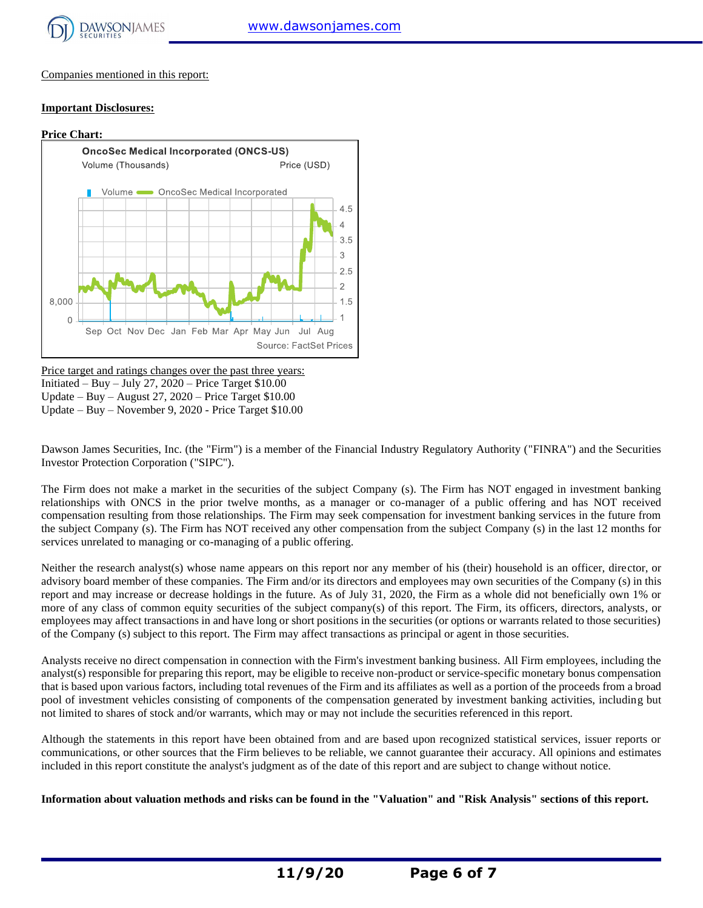

Companies mentioned in this report:

#### **Important Disclosures:**



Price target and ratings changes over the past three years: Initiated – Buy – July 27,  $2020$  – Price Target \$10.00 Update – Buy – August 27, 2020 – Price Target \$10.00 Update – Buy – November 9, 2020 - Price Target \$10.00

Dawson James Securities, Inc. (the "Firm") is a member of the Financial Industry Regulatory Authority ("FINRA") and the Securities Investor Protection Corporation ("SIPC").

The Firm does not make a market in the securities of the subject Company (s). The Firm has NOT engaged in investment banking relationships with ONCS in the prior twelve months, as a manager or co-manager of a public offering and has NOT received compensation resulting from those relationships. The Firm may seek compensation for investment banking services in the future from the subject Company (s). The Firm has NOT received any other compensation from the subject Company (s) in the last 12 months for services unrelated to managing or co-managing of a public offering.

Neither the research analyst(s) whose name appears on this report nor any member of his (their) household is an officer, director, or advisory board member of these companies. The Firm and/or its directors and employees may own securities of the Company (s) in this report and may increase or decrease holdings in the future. As of July 31, 2020, the Firm as a whole did not beneficially own 1% or more of any class of common equity securities of the subject company(s) of this report. The Firm, its officers, directors, analysts, or employees may affect transactions in and have long or short positions in the securities (or options or warrants related to those securities) of the Company (s) subject to this report. The Firm may affect transactions as principal or agent in those securities.

Analysts receive no direct compensation in connection with the Firm's investment banking business. All Firm employees, including the analyst(s) responsible for preparing this report, may be eligible to receive non-product or service-specific monetary bonus compensation that is based upon various factors, including total revenues of the Firm and its affiliates as well as a portion of the proceeds from a broad pool of investment vehicles consisting of components of the compensation generated by investment banking activities, including but not limited to shares of stock and/or warrants, which may or may not include the securities referenced in this report.

Although the statements in this report have been obtained from and are based upon recognized statistical services, issuer reports or communications, or other sources that the Firm believes to be reliable, we cannot guarantee their accuracy. All opinions and estimates included in this report constitute the analyst's judgment as of the date of this report and are subject to change without notice.

**Information about valuation methods and risks can be found in the "Valuation" and "Risk Analysis" sections of this report.**